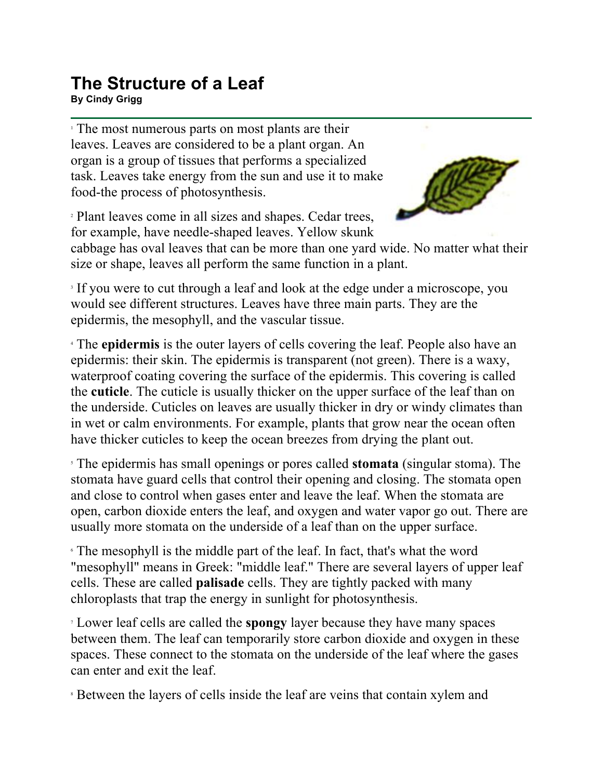## **The Structure of a Leaf**

**By Cindy Grigg**

<sup>1</sup> The most numerous parts on most plants are their leaves. Leaves are considered to be a plant organ. An organ is a group of tissues that performs a specialized task. Leaves take energy from the sun and use it to make food-the process of photosynthesis.

<sup>2</sup> Plant leaves come in all sizes and shapes. Cedar trees, for example, have needle-shaped leaves. Yellow skunk



cabbage has oval leaves that can be more than one yard wide. No matter what their size or shape, leaves all perform the same function in a plant.

<sup>3</sup> If you were to cut through a leaf and look at the edge under a microscope, you would see different structures. Leaves have three main parts. They are the epidermis, the mesophyll, and the vascular tissue.

<sup>4</sup> The **epidermis** is the outer layers of cells covering the leaf. People also have an epidermis: their skin. The epidermis is transparent (not green). There is a waxy, waterproof coating covering the surface of the epidermis. This covering is called the **cuticle**. The cuticle is usually thicker on the upper surface of the leaf than on the underside. Cuticles on leaves are usually thicker in dry or windy climates than in wet or calm environments. For example, plants that grow near the ocean often have thicker cuticles to keep the ocean breezes from drying the plant out.

<sup>5</sup> The epidermis has small openings or pores called **stomata** (singular stoma). The stomata have guard cells that control their opening and closing. The stomata open and close to control when gases enter and leave the leaf. When the stomata are open, carbon dioxide enters the leaf, and oxygen and water vapor go out. There are usually more stomata on the underside of a leaf than on the upper surface.

<sup>6</sup> The mesophyll is the middle part of the leaf. In fact, that's what the word "mesophyll" means in Greek: "middle leaf." There are several layers of upper leaf cells. These are called **palisade** cells. They are tightly packed with many chloroplasts that trap the energy in sunlight for photosynthesis.

<sup>7</sup> Lower leaf cells are called the **spongy** layer because they have many spaces between them. The leaf can temporarily store carbon dioxide and oxygen in these spaces. These connect to the stomata on the underside of the leaf where the gases can enter and exit the leaf.

<sup>8</sup> Between the layers of cells inside the leaf are veins that contain xylem and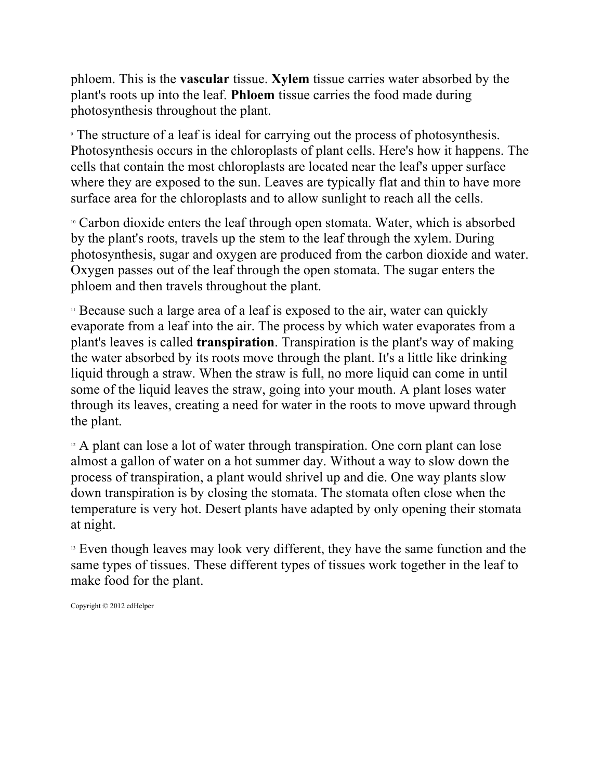phloem. This is the **vascular** tissue. **Xylem** tissue carries water absorbed by the plant's roots up into the leaf. **Phloem** tissue carries the food made during photosynthesis throughout the plant.

<sup>9</sup> The structure of a leaf is ideal for carrying out the process of photosynthesis. Photosynthesis occurs in the chloroplasts of plant cells. Here's how it happens. The cells that contain the most chloroplasts are located near the leaf's upper surface where they are exposed to the sun. Leaves are typically flat and thin to have more surface area for the chloroplasts and to allow sunlight to reach all the cells.

<sup>10</sup> Carbon dioxide enters the leaf through open stomata. Water, which is absorbed by the plant's roots, travels up the stem to the leaf through the xylem. During photosynthesis, sugar and oxygen are produced from the carbon dioxide and water. Oxygen passes out of the leaf through the open stomata. The sugar enters the phloem and then travels throughout the plant.

<sup>11</sup> Because such a large area of a leaf is exposed to the air, water can quickly evaporate from a leaf into the air. The process by which water evaporates from a plant's leaves is called **transpiration**. Transpiration is the plant's way of making the water absorbed by its roots move through the plant. It's a little like drinking liquid through a straw. When the straw is full, no more liquid can come in until some of the liquid leaves the straw, going into your mouth. A plant loses water through its leaves, creating a need for water in the roots to move upward through the plant.

<sup>12</sup> A plant can lose a lot of water through transpiration. One corn plant can lose almost a gallon of water on a hot summer day. Without a way to slow down the process of transpiration, a plant would shrivel up and die. One way plants slow down transpiration is by closing the stomata. The stomata often close when the temperature is very hot. Desert plants have adapted by only opening their stomata at night.

<sup>13</sup> Even though leaves may look very different, they have the same function and the same types of tissues. These different types of tissues work together in the leaf to make food for the plant.

Copyright © 2012 edHelper